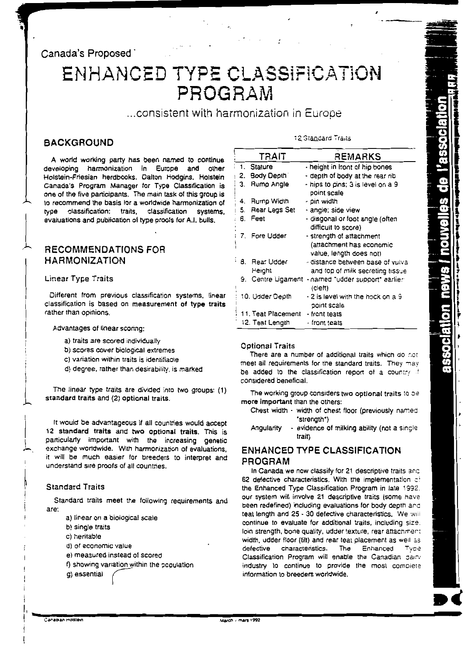## Canada's Proposed

## ENHANCED TYPE CLASSIFICATION PROGRAM

... consistent with harmonization in Europe

## **BACKGROUND**

A world working party has been named to continue developing harmonization in Europe and other Holstein-Friesian herdbooks. Dalton Hodgins, Holstein Canada's Program Manager for Type Classification is one of the five participants. The main task of this group is to recommend the basis for a worldwide harmonization of type classification: traits, classification systems, evaluations and publication of type proofs for A.I. bulls.

## **RECOMMENDATIONS FOR HARMONIZATION**

#### Linear Type Traits

Different from previous classification systems, linear classification is based on measurement of type traits rather than opinions.

Advantages of linear scoring:

- a) traits are scored individually
- b) scores cover biological extremes
- c) variation within traits is identifiable
- d) degree, rather than desirability, is marked

The linear type traits are divided into two groups: (1) standard traits and (2) optional traits.

It would be advantageous if all countries would accept 12 standard traits and two optional traits. This is particularly important with the increasing genetic exchange worldwide. With harmonization of evaluations, it will be much easier for breeders to interpret and understand sire proofs of all countries.

#### **Standard Traits**

Standard traits meet the following requirements and are:

- a) linear on a biological scale
- b) single traits
- c) heritable
- d) of economic value
- e) measured instead of scored
- f) showing variation within the population
- g) essential

#### 12 Standard Traits

|    | <b>TRAIT</b>         | REMARKS                                                                         |
|----|----------------------|---------------------------------------------------------------------------------|
|    | 1. Stature           | - height in front of hip bones                                                  |
| 2. | Body Depth           | - depth of body at the rear rib                                                 |
| З. | Rumo Angle           | - hips to pins; 3 is level on a 9<br>point scale                                |
| 4. | Rump Width           | - pin width                                                                     |
| 5. | Rear Legs Set        | - angle; side view                                                              |
| 6. | Feet                 | - diagonal or foot angle (often<br>difficult to score)                          |
|    | 7. Fore Udder        | - strength of attachment<br>(attachment has economic<br>value, length does not) |
|    | Rear Udder<br>Height | - distance between base of vulva<br>and top of milk secreting tissue            |
|    | 9. Centre Ligament   | - named "udder support" earlier:<br>(cleft)                                     |
|    | 10. Udder Depth      | - 2 is level with the hock on a 9<br>point scale                                |
|    | 11. Teat Placement   | · front teats                                                                   |
|    | 12. Teat Length      | front teats                                                                     |

#### **Optional Traits**

There are a number of additional traits which do not meet all requirements for the standard traits. They may be added to the classification report of a country if considered beneficial.

The working group considers two optional traits to be more important than the others:

- Chest width width of chest floor (previously named "strength")
- evidence of milking ability (not a single Angularity trait)

## **ENHANCED TYPE CLASSIFICATION** PROGRAM

In Canada we now classify for 21 descriptive traits and 62 defective characteristics. With the implementation of the Enhanced Type Classification Program in late 1992. our system will involve 21 descriptive traits (some have been redefined) including evaluations for body depth and teat length and 25 - 30 defective characteristics. We will continue to evaluate for additional traits, including size. loin strength, bone quality, udder texture, rear attachment width, udder floor (tilt) and rear teat placement as well as characteristics. defective The Enhanced Type Classification Program will enable the Canadian dairy industry to continue to provide the most complete information to breeders worldwide.